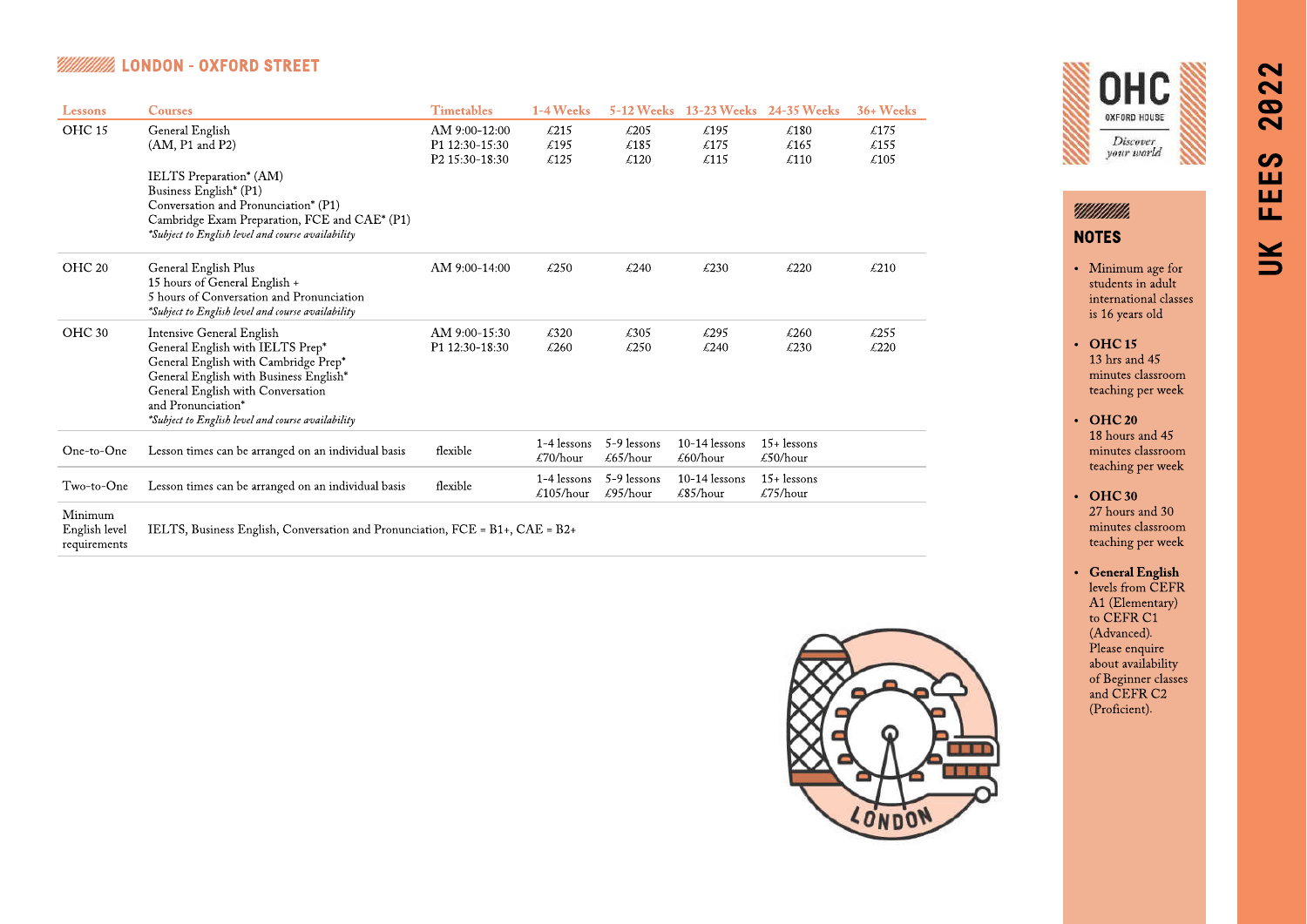# **EXECUTE: 18 AND ON - OXFORD STREET**

| Lessons                  | <b>Courses</b>                                                                                                                                                                                                                                                  | <b>Timetables</b>                                 | 1-4 Weeks                | <b>5-12 Weeks</b>                        |                                            | 13-23 Weeks 24-35 Weeks                        | 36+ Weeks            |
|--------------------------|-----------------------------------------------------------------------------------------------------------------------------------------------------------------------------------------------------------------------------------------------------------------|---------------------------------------------------|--------------------------|------------------------------------------|--------------------------------------------|------------------------------------------------|----------------------|
| OHC <sub>15</sub>        | General English<br>$(AM, P1$ and $P2)$                                                                                                                                                                                                                          | AM 9:00-12:00<br>P1 12:30-15:30<br>P2 15:30-18:30 | £215<br>£195<br>£125     | £205<br>£185<br>£120                     | £195<br>£175<br>£115                       | £180<br>£165<br>£110                           | £175<br>£155<br>£105 |
|                          | IELTS Preparation <sup>*</sup> (AM)<br>Business English* (P1)<br>Conversation and Pronunciation* (P1)<br>Cambridge Exam Preparation, FCE and CAE* (P1)<br>*Subject to English level and course availability                                                     |                                                   |                          |                                          |                                            |                                                |                      |
| OHC <sub>20</sub>        | General English Plus<br>15 hours of General English +<br>5 hours of Conversation and Pronunciation<br>*Subject to English level and course availability                                                                                                         | AM 9:00-14:00                                     | $\text{\pounds}250$      | £240                                     | £230                                       | £220                                           | $\text{\pounds}210$  |
| OHC 30                   | Intensive General English<br>General English with IELTS Prep*<br>General English with Cambridge Prep*<br>General English with Business English*<br>General English with Conversation<br>and Pronunciation*<br>*Subject to English level and course availability | AM 9:00-15:30<br>P1 12:30-18:30                   | £320<br>£260             | £305<br>£250                             | £295<br>£240                               | £260<br>£230                                   | £255<br>£220         |
| One-to-One               | Lesson times can be arranged on an individual basis                                                                                                                                                                                                             | flexible                                          | 1-4 lessons<br>£70/hour  | 5-9 lessons<br>$\frac{265}{\text{hour}}$ | $10-14$ lessons<br>£60/hour                | $15 +$ lessons<br>$\text{\pounds}50/hour$      |                      |
| Two-to-One               | Lesson times can be arranged on an individual basis                                                                                                                                                                                                             | flexible                                          | 1-4 lessons<br>£105/hour | 5-9 lessons<br>$\text{\pounds}95/hour$   | $10-14$ lessons<br>$\text{\pounds}85/hour$ | $15+$ lessons<br>$\text{\textsterling}75/hour$ |                      |
| Minimum<br>English level | IELTS, Business English, Conversation and Pronunciation, $FCE = B1+$ , $CAE = B2+$                                                                                                                                                                              |                                                   |                          |                                          |                                            |                                                |                      |

requirements





NOTES

- Minimum age for students in adult international classes is 16 years old
- $\cdot$  OHC 15 13 hrs and 45 minutes classroom teaching per week
- $\cdot$  OHC 20 18 hours and 45 minutes classroom teaching per week
- OHC 30 27 hours and 30 minutes classroom teaching per week
- General English levels from CEFR A1 (Elementary) to CEFR C1 (Advanced). Please enquire about availability of Beginner classes and CEFR C2 (Proficient).

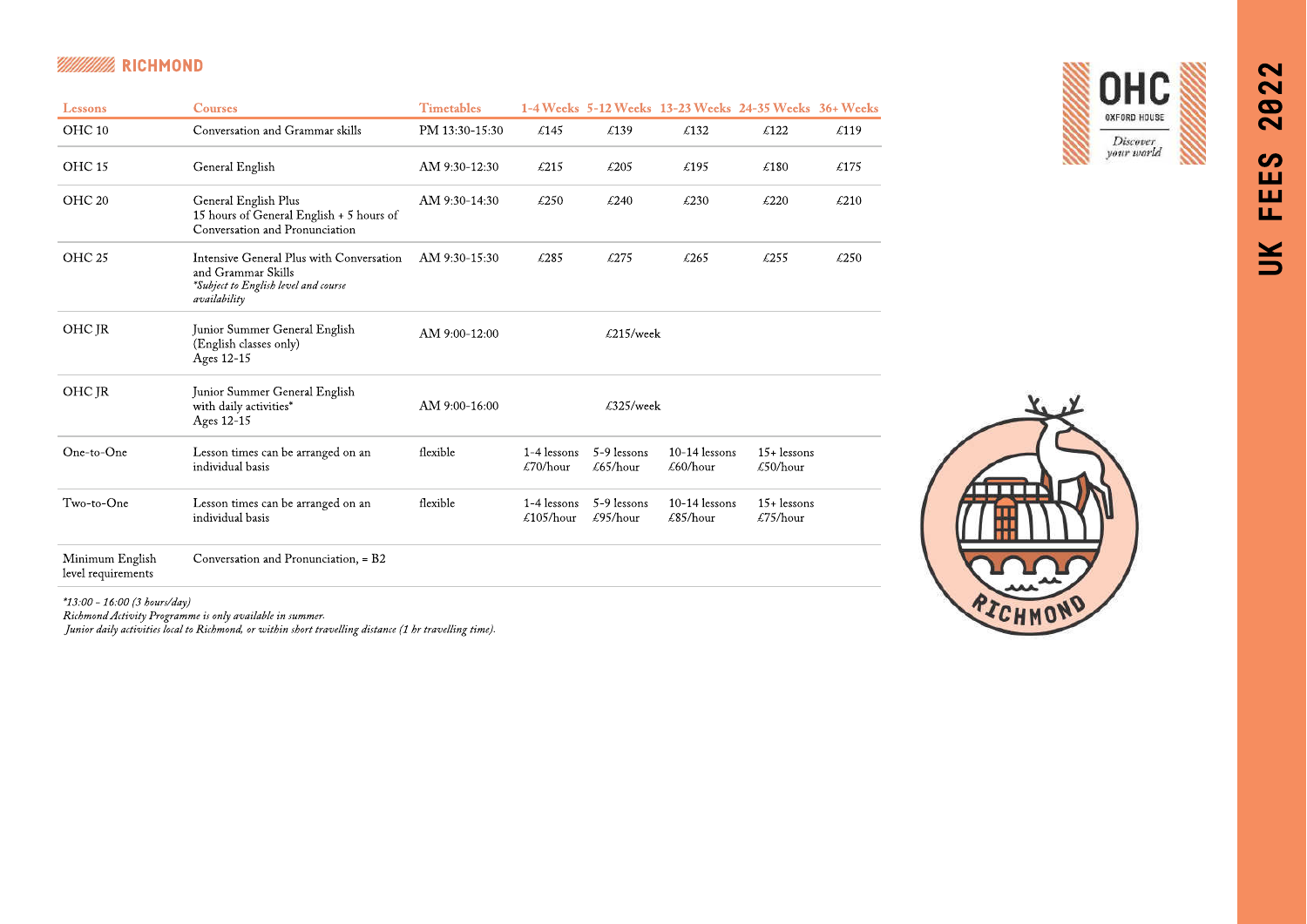### MM **BELLEY RICHMOND**

| Lessons                               | <b>Courses</b>                                                                                                         | <b>Timetables</b> |                          |                                | 1-4 Weeks 5-12 Weeks 13-23 Weeks 24-35 Weeks 36+ Weeks |                            |                     |
|---------------------------------------|------------------------------------------------------------------------------------------------------------------------|-------------------|--------------------------|--------------------------------|--------------------------------------------------------|----------------------------|---------------------|
| OHC <sub>10</sub>                     | Conversation and Grammar skills                                                                                        | PM 13:30-15:30    | £145                     | £139                           | £132                                                   | £122                       | £119                |
| OHC <sub>15</sub>                     | General English                                                                                                        | AM 9:30-12:30     | $\text{\pounds}215$      | $\text{\pounds}205$            | £195                                                   | £180                       | £175                |
| OHC <sub>20</sub>                     | General English Plus<br>15 hours of General English + 5 hours of<br>Conversation and Pronunciation                     | AM 9:30-14:30     | $\text{\pounds}250$      | £240                           | £230                                                   | £220                       | $\text{\pounds}210$ |
| OHC <sub>25</sub>                     | Intensive General Plus with Conversation<br>and Grammar Skills<br>*Subject to English level and course<br>availability | AM 9:30-15:30     | £285                     | £275                           | £265                                                   | £255                       | £250                |
| OHC JR                                | Junior Summer General English<br>(English classes only)<br>Ages 12-15                                                  | AM 9:00-12:00     |                          | $\text{\textsterling}215/week$ |                                                        |                            |                     |
| OHC JR                                | Junior Summer General English<br>with daily activities*<br>Ages 12-15                                                  | AM 9:00-16:00     |                          | £325/week                      |                                                        |                            |                     |
| One-to-One                            | Lesson times can be arranged on an<br>individual basis                                                                 | flexible          | 1-4 lessons<br>£70/hour  | 5-9 lessons<br>£65/hour        | $10-14$ lessons<br>£60/hour                            | $15+$ lessons<br>£50/hour  |                     |
| Two-to-One                            | Lesson times can be arranged on an<br>individual basis                                                                 | flexible          | 1-4 lessons<br>£105/hour | 5-9 lessons<br>£95/hour        | $10-14$ lessons<br>$\text{\pounds}85/hour$             | $15 +$ lessons<br>£75/hour |                     |
| Minimum English<br>level requirements | Conversation and Pronunciation, = B2                                                                                   |                   |                          |                                |                                                        |                            |                     |

**OHC** OXFORD HOUSE Discover<br>your world

\*13:00 - 16:00 (3 hours/day)

Richmond Activity Programme is only available in summer.

Junior daily activities local to Richmond, or within short travelling distance (1 hr travelling time).

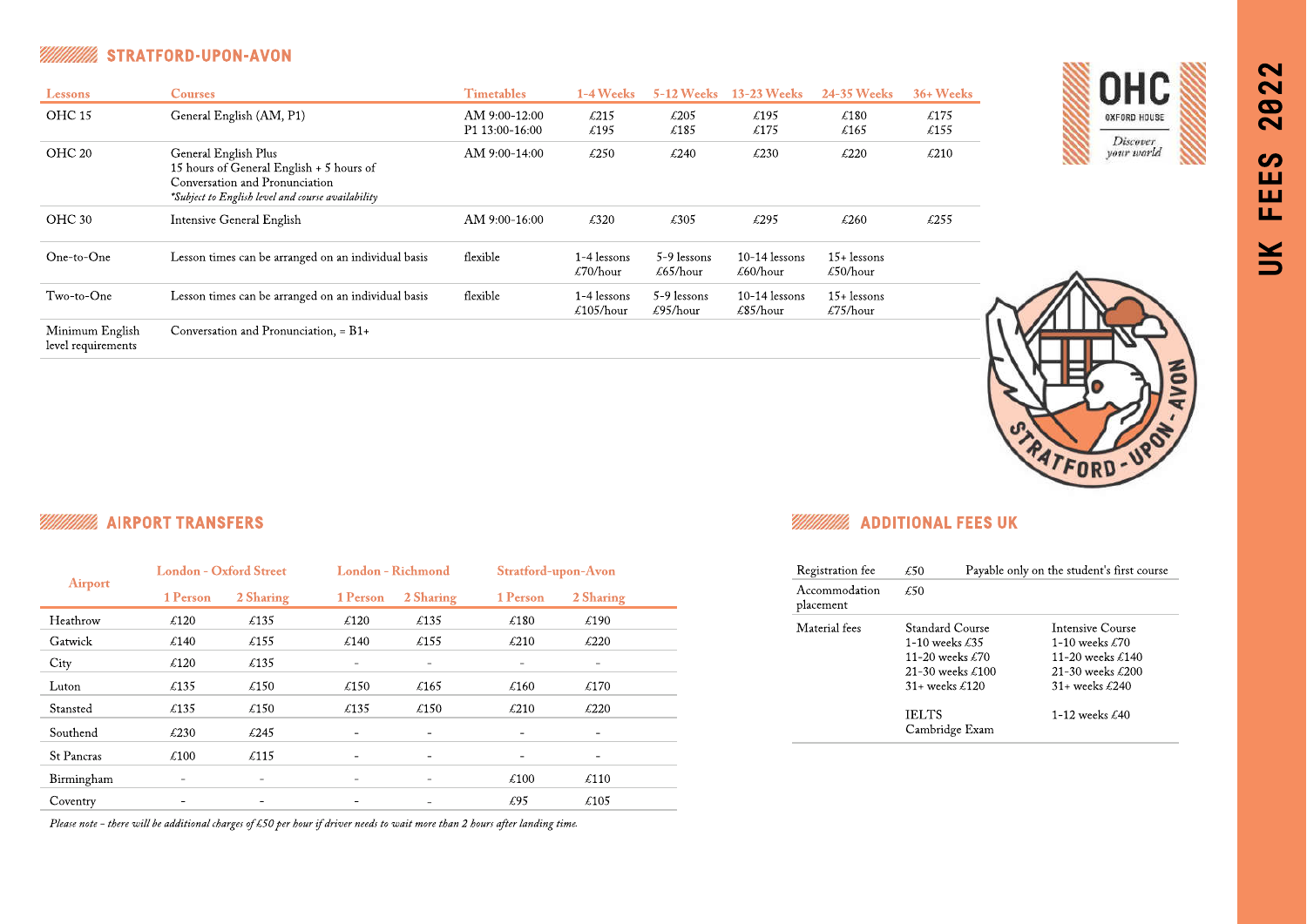### STRATFORD-UPON-AVON M

| <b>Lessons</b>                        | <b>Courses</b>                                                                                                                                          | <b>Timetables</b>               | 1-4 Weeks                              | <b>5-12 Weeks</b>                      | <b>13-23 Weeks</b>                         | <b>24-35 Weeks</b>                             | $36+$ Weeks         |
|---------------------------------------|---------------------------------------------------------------------------------------------------------------------------------------------------------|---------------------------------|----------------------------------------|----------------------------------------|--------------------------------------------|------------------------------------------------|---------------------|
| OHC 15                                | General English (AM, P1)                                                                                                                                | AM 9:00-12:00<br>P1 13:00-16:00 | £215<br>£195                           | $\text{\pounds}205$<br>£185            | £195<br>£175                               | £180<br>$\textsterling 165$                    | £175<br>£155        |
| OHC <sub>20</sub>                     | General English Plus<br>15 hours of General English + 5 hours of<br>Conversation and Pronunciation<br>*Subject to English level and course availability | AM 9:00-14:00                   | $\text{\pounds}250$                    | £240                                   | $\text{\pounds}230$                        | $\text{\pounds}220$                            | $\text{\pounds}210$ |
| OHC 30                                | <b>Intensive General English</b>                                                                                                                        | AM 9:00-16:00                   | £320                                   | £305                                   | £295                                       | £260                                           | $\text{\pounds}255$ |
| One-to-One                            | Lesson times can be arranged on an individual basis                                                                                                     | flexible                        | 1-4 lessons<br>$\text{\pounds}70/hour$ | 5-9 lessons<br>£65/hour                | $10-14$ lessons<br>£60/hour                | $15+$ lessons<br>$\text{\pounds}50/hour$       |                     |
| Two-to-One                            | Lesson times can be arranged on an individual basis                                                                                                     | flexible                        | 1-4 lessons<br>£105/hour               | 5-9 lessons<br>$\text{\pounds}95/hour$ | $10-14$ lessons<br>$\text{\pounds}85/hour$ | $15+$ lessons<br>$\text{\textsterling}75/hour$ |                     |
| Minimum English<br>level requirements | Conversation and Pronunciation, = B1+                                                                                                                   |                                 |                                        |                                        |                                            |                                                |                     |







## M

|                   | <b>London - Oxford Street</b> |                              |                          | London - Richmond            |                          | Stratford-upon-Avon |  |
|-------------------|-------------------------------|------------------------------|--------------------------|------------------------------|--------------------------|---------------------|--|
| <b>Airport</b>    | 1 Person                      | 2 Sharing                    | 1 Person                 | 2 Sharing                    | 1 Person                 | 2 Sharing           |  |
| Heathrow          | $\pounds 120$                 | £135                         | $\text{\pounds}120$      | $\text{\pounds}135$          | €180                     | £190                |  |
| Gatwick           | £140                          | £155                         | £140                     | £155                         | $\text{\pounds}210$      | £220                |  |
| City              | $\text{\pounds}120$           | $\text{\pounds}135$          |                          |                              |                          |                     |  |
| Luton             | $\text{\pounds}135$           | $\text{\pounds}150$          | $\text{\pounds}150$      | $\text{\pounds}165$          | $\text{\pounds}160$      | £170                |  |
| Stansted          | £135                          | $\text{\pounds}150$          | £135                     | £150                         | $\text{\pounds}210$      | $\text{\pounds}220$ |  |
| Southend          | $\text{\pounds}230$           | £245                         |                          | $\qquad \qquad \blacksquare$ | $\overline{\phantom{0}}$ | -                   |  |
| <b>St Pancras</b> | $\pounds100$                  | £115                         |                          |                              |                          |                     |  |
| Birmingham        | $\overline{\phantom{a}}$      | $\overline{\phantom{m}}$     |                          | $\overline{\phantom{0}}$     | $\pounds100$             | $\text{\pounds}110$ |  |
| Coventry          | $\overline{\phantom{0}}$      | $\qquad \qquad \blacksquare$ | $\overline{\phantom{0}}$ | $\overline{\phantom{a}}$     | £95                      | $\text{\pounds}105$ |  |

Please note - there will be additional charges of £50 per hour if driver needs to wait more than 2 hours after landing time.

# AIRPORT TRANSFERS ADDITIONAL FEES UK AND AND ANNO 1999 AND ANN ANN ANN AN ANN AN ADDITIONAL FEES UK

| Payable only on the student's first course<br>£50 |                           |  |
|---------------------------------------------------|---------------------------|--|
| £50                                               |                           |  |
| Standard Course                                   | Intensive Course          |  |
| 1-10 weeks $\pounds 35$                           | 1-10 weeks $\pounds 70$   |  |
| 11-20 weeks $£70$                                 | 11-20 weeks $\pounds$ 140 |  |
| 21-30 weeks $£100$                                | 21-30 weeks £200          |  |
| $31+$ weeks £120                                  | $31+$ weeks £240          |  |
| <b>IELTS</b><br>Cambridge Exam                    | 1-12 weeks $£40$          |  |
|                                                   |                           |  |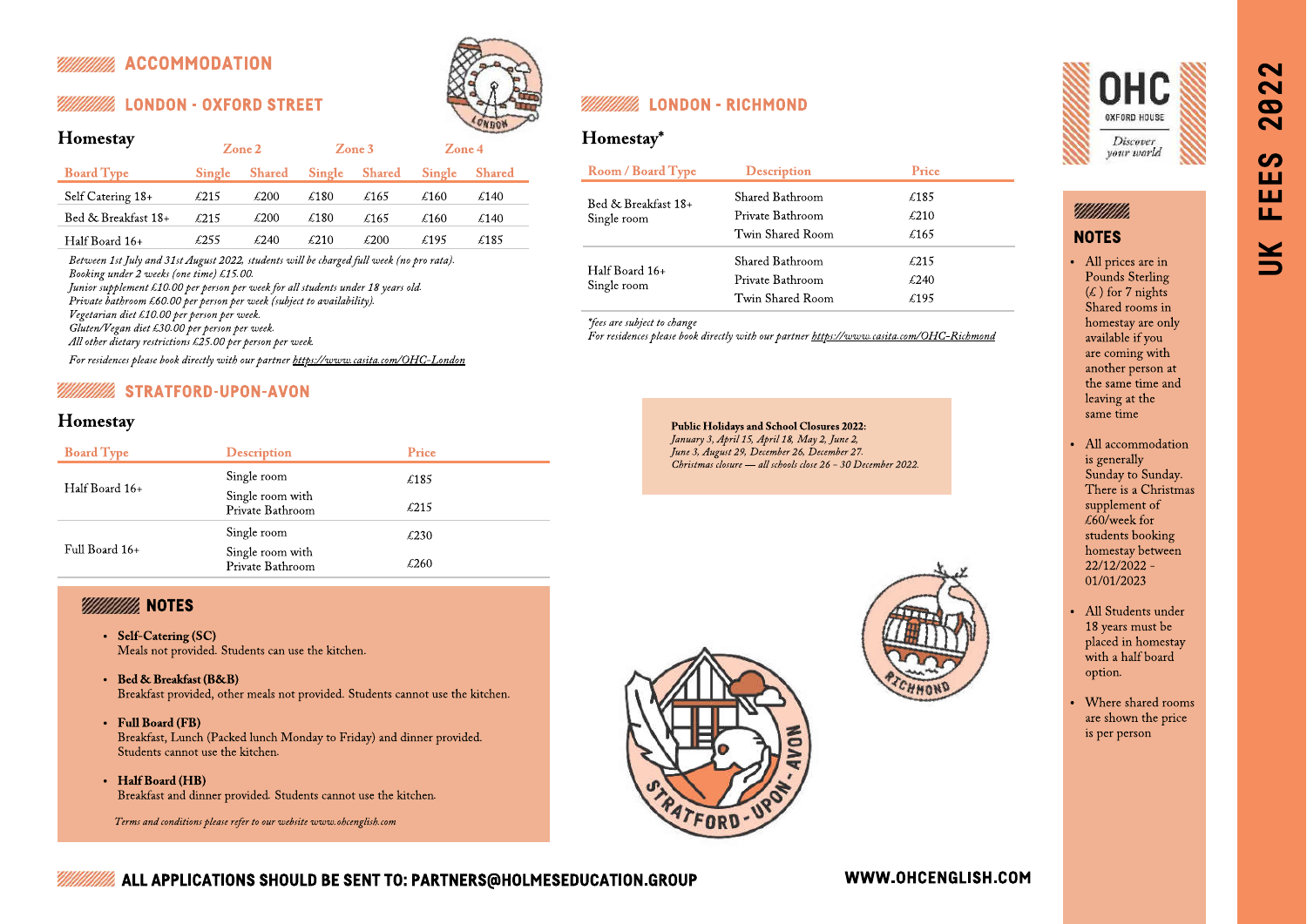# ACCOMMODATION

| Homestay            |              | Zone 2              |        | Zone 3        | $\mathbf{Z}$ one 4 |               |
|---------------------|--------------|---------------------|--------|---------------|--------------------|---------------|
| <b>Board Type</b>   | Single       | <b>Shared</b>       | Single | <b>Shared</b> | Single             | <b>Shared</b> |
| Self Catering 18+   | $\pounds215$ | $\pounds200$        | £180   | £165          | £160               | £140          |
| Bed & Breakfast 18+ | £215         | $\text{\pounds}200$ | £180   | £165          | £160               | £140          |
| Half Board 16+      | £255         | £240                | £210   | £200          | £195               | £185          |

Between 1st July and 31st August 2022, students will be charged full week (no pro rata). Booking under 2 weeks (one time) £15.00. Junior supplement £10.00 per person per week for all students under 18 years old. Private bathroom £60.00 per person per week (subject to availability). Vegetarian diet £10.00 per person per week. Gluten/Vegan diet £30.00 per person per week. All other dietary restrictions £25.00 per person per week.

For residences please book directly with our partner <https://www.casita.com/OHC-London>

# STRATFORD-UPON-AVON

# Homestay

| <b>Board Type</b> | <b>Description</b>                   | Price               |
|-------------------|--------------------------------------|---------------------|
|                   | Single room                          | $\text{\pounds}185$ |
| Half Board 16+    | Single room with<br>Private Bathroom | $\text{\pounds}215$ |
|                   | Single room                          | £230                |
| Full Board 16+    | Single room with<br>Private Bathroom | £260                |

## **VIIIIIIIIIIIIIII** NOTES

- Self-Catering (SC) Meals not provided. Students can use the kitchen.
- Bed & Breakfast (B&B) Breakfast provided, other meals not provided. Students cannot use the kitchen.
- Full Board (FB)
- Breakfast, Lunch (Packed lunch Monday to Friday) and dinner provided. Students cannot use the kitchen.
- Half Board (HB) Breakfast and dinner provided. Students cannot use the kitchen.

Terms and conditions please refer to our website www.ohcenglish.com



# LONDON - OXFORD STREET LONDON - RICHMOND

# Homestay\*

| <b>Room / Board Type</b>      | <b>Description</b> | Price |
|-------------------------------|--------------------|-------|
| Bed & Breakfast 18+           | Shared Bathroom    | £185  |
| Single room                   | Private Bathroom   | £210  |
|                               | Twin Shared Room   | £165  |
|                               | Shared Bathroom    | £215  |
| Half Board 16+<br>Single room | Private Bathroom   | £240  |
|                               | Twin Shared Room   | £195  |

For residences please book directly with our partner <https://www.casita.com/OHC-Richmond>

Public Holidays and School Closures 2022: January 3, April 15, April 18, May 2, June 2, June 3, August 29, December 26, December 27. Christmas closure — all schools close 26 - 30 December 2022.





UK FEES 2022

 $\sim$  $\sim$  $\boldsymbol{\omega}$ 

 $\overline{\mathbf{C}}$ 

 $\boldsymbol{\omega}$ ш ш

Ш.

 $\leq$ 

# YMMMM).

# **NOTES**

- All prices are in Pounds Sterling  $(\xi)$  for 7 nights Shared rooms in homestay are only available if you are coming with another person at the same time and leaving at the same time
- All accommodation is generally Sunday to Sunday. There is a Christmas supplement of  $\overline{60}$ /week for students booking homestay between 22/12/2022 - 01/01/2023
- All Students under 18 years must be placed in homestay with a half board option.
- Where shared rooms are shown the price is per person



# ALL APPLICATIONS SHOULD BE SENT TO: PARTNERS@HOLMESEDUCATION.GROUP

## WWW.OHCENGLISH.COM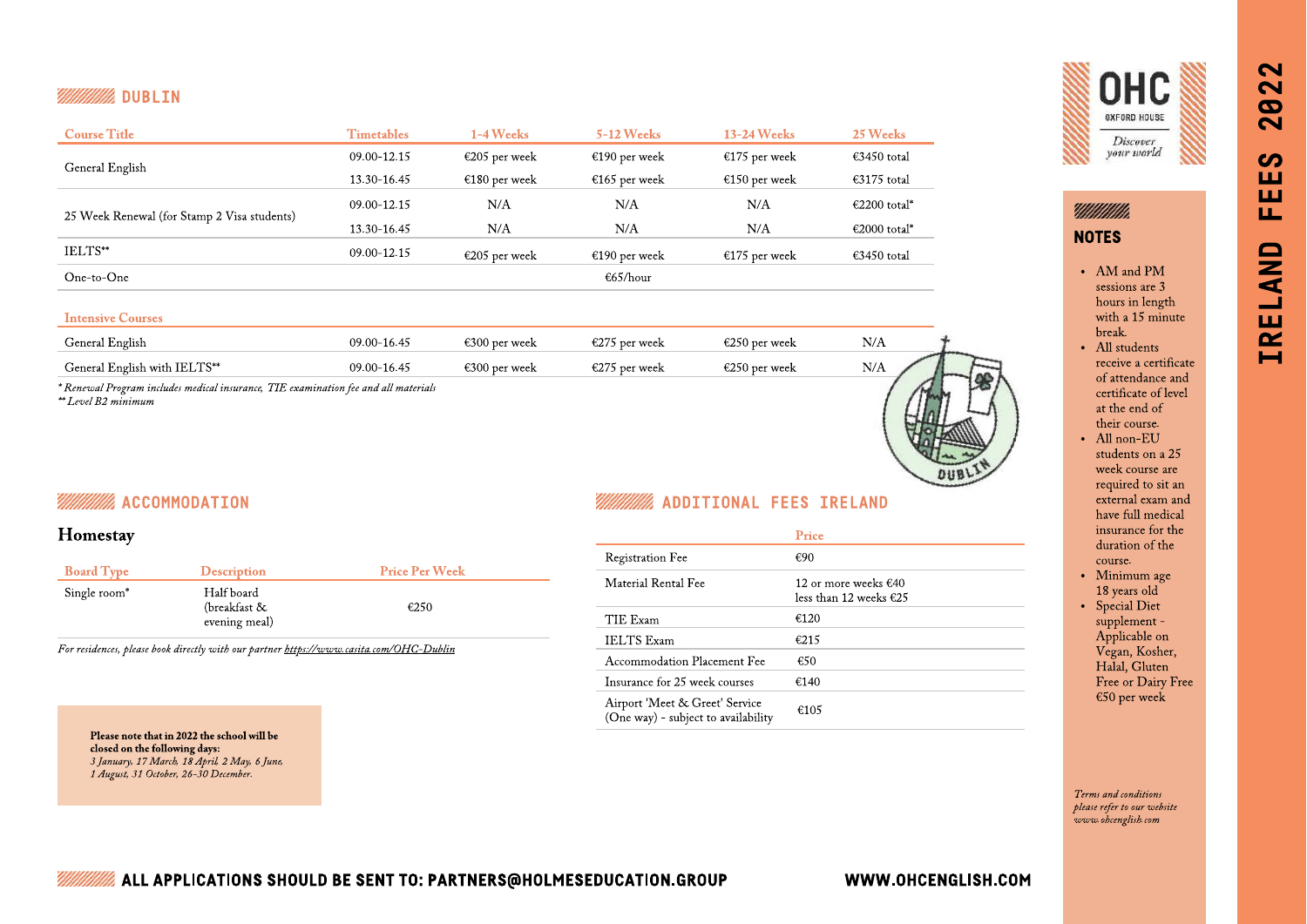# **WINNING** DUBLIN

| <b>Course Title</b>                         | <b>Timetables</b> | 1-4 Weeks     | <b>5-12 Weeks</b> | $13-24$ Weeks | 25 Weeks     |
|---------------------------------------------|-------------------|---------------|-------------------|---------------|--------------|
|                                             | 09.00-12.15       | €205 per week | €190 per week     | €175 per week | €3450 total  |
| General English                             | 13.30-16.45       | €180 per week | €165 per week     | €150 per week | €3175 total  |
|                                             | 09.00-12.15       | N/A           | N/A               | N/A           | €2200 total* |
| 25 Week Renewal (for Stamp 2 Visa students) | 13.30-16.45       | N/A           | N/A               | N/A           | €2000 total* |
| IELTS**                                     | 09.00-12.15       | €205 per week | €190 per week     | €175 per week | €3450 total  |
| One-to-One                                  |                   |               | €65/hour          |               |              |

### Intensive Courses

| General English              | $09.00 - 16.45$ | š300 per week | €275 per week           | <sup>7</sup> 250 per week | N/A            |  |
|------------------------------|-----------------|---------------|-------------------------|---------------------------|----------------|--|
| General English with IELTS** | $09.00 - 16.45$ | '300 per week | $\epsilon$ 275 per week | `250 per week             | N/<br>. 47 L S |  |
|                              |                 |               |                         |                           |                |  |

\* Renewal Program includes medical insurance, TIE examination fee and all materials \*\* Level B2 minimum



# **ACCOMMODATION**

# Homestay

| <b>Board Type</b>        | <b>Description</b>                             | <b>Price Per Week</b> |
|--------------------------|------------------------------------------------|-----------------------|
| Single room <sup>*</sup> | Half board<br>(breakfast $\&$<br>evening meal) | €250                  |

For residences, please book directly with our partner<https://www.casita.com/OHC-Dublin>

# ADDITIONAL FEES IRELAND

|                                                                       | Price                                            |
|-----------------------------------------------------------------------|--------------------------------------------------|
| <b>Registration Fee</b>                                               | €90                                              |
| Material Rental Fee                                                   | 12 or more weeks $€40$<br>less than 12 weeks €25 |
| TIE Exam                                                              | €120                                             |
| <b>IELTS</b> Exam                                                     | £215                                             |
| Accommodation Placement Fee                                           | €50                                              |
| Insurance for 25 week courses                                         | €140                                             |
| Airport 'Meet & Greet' Service<br>(One way) - subject to availability | €105                                             |



*Millittiin* NOTES

> AM and PM sessions are 3 hours in length with a 15 minute break.

IRELAND FEES 2022

ЦL,

*IRELAND* 

 $\sim$  $\overline{\mathbf{C}}$ 82

 $\boldsymbol{\omega}$ ш ш

- All students receive a certificate of attendance and certificate of level at the end of their course.
- All non-EU students on a 25 week course are required to sit an external exam and have full medical insurance for the duration of the course.
- Minimum age 18 years old
- Special Diet supplement - Applicable on Vegan, Kosher, Halal, Gluten Free or Dairy Free €50 per week

Terms and conditions please refer to our website www.ohcenglish.com

Please note that in 2022 the school will be closed on the following days: 3 January, 17 March, 18 April, 2 May, 6 June, 1 August, 31 October, 26-30 December.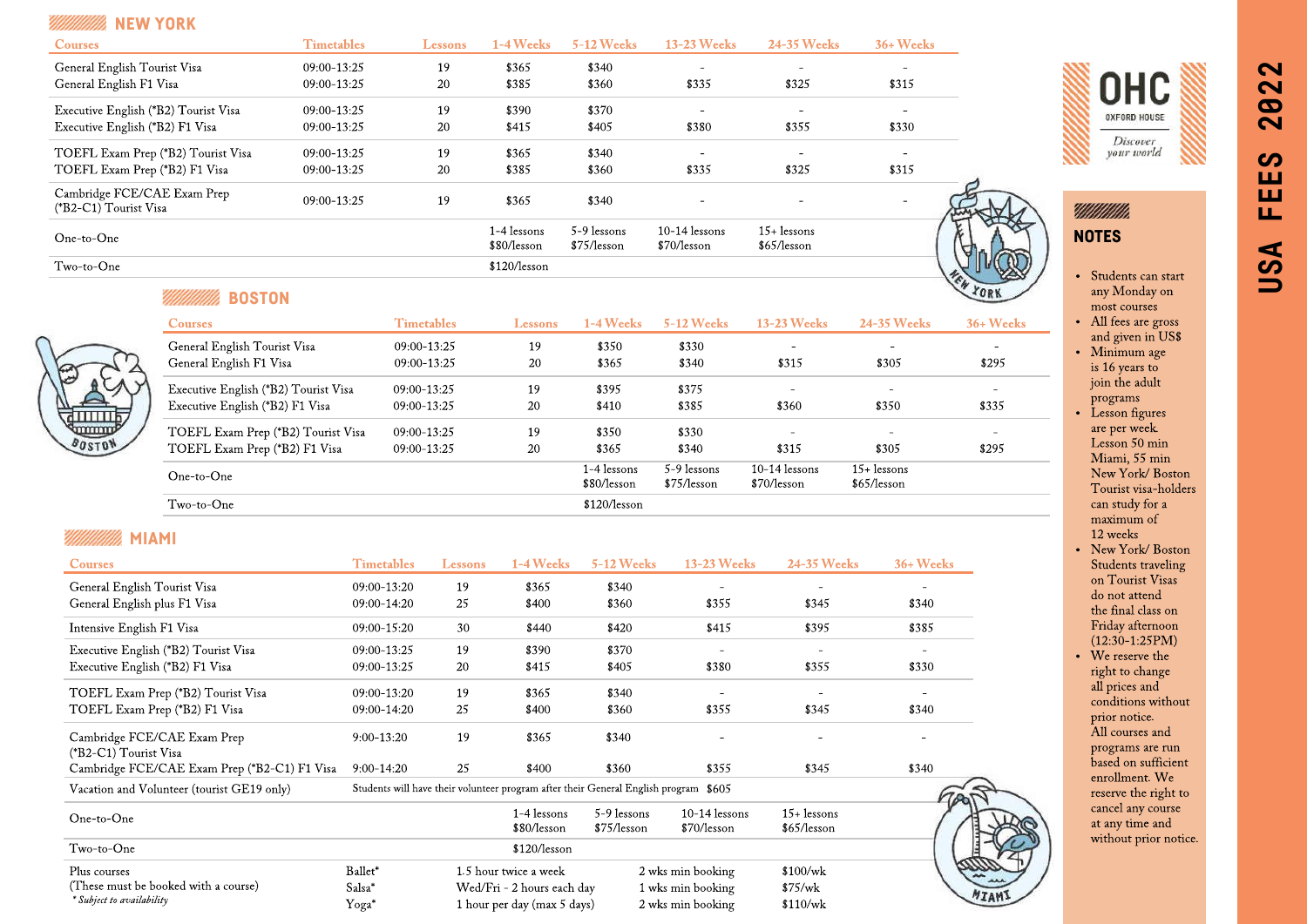| <b>SEE ALL AND STRIKE STRIKE</b>                     |                   |         |                            |                            |                                |                              |           |
|------------------------------------------------------|-------------------|---------|----------------------------|----------------------------|--------------------------------|------------------------------|-----------|
| <b>Courses</b>                                       | <b>Timetables</b> | Lessons | 1-4 Weeks                  | <b>5-12 Weeks</b>          | <b>13-23 Weeks</b>             | 24-35 Weeks                  | 36+ Weeks |
| General English Tourist Visa                         | $09:00 - 13:25$   | 19      | \$365                      | \$340                      |                                |                              |           |
| General English F1 Visa                              | 09:00-13:25       | 20      | \$385                      | \$360                      | \$335                          | \$325                        | \$315     |
| Executive English (*B2) Tourist Visa                 | 09:00-13:25       | 19      | \$390                      | \$370                      |                                |                              |           |
| Executive English (*B2) F1 Visa                      | 09:00-13:25       | 20      | \$415                      | \$405                      | \$380                          | \$355                        | \$330     |
| TOEFL Exam Prep (*B2) Tourist Visa                   | 09:00-13:25       | 19      | \$365                      | \$340                      |                                |                              |           |
| TOEFL Exam Prep (*B2) F1 Visa                        | 09:00-13:25       | 20      | \$385                      | \$360                      | \$335                          | \$325                        | \$315     |
| Cambridge FCE/CAE Exam Prep<br>(*B2-C1) Tourist Visa | $09:00 - 13:25$   | 19      | \$365                      | \$340                      |                                |                              | ۰         |
| One-to-One                                           |                   |         | 1-4 lessons<br>\$80/lesson | 5-9 lessons<br>\$75/lesson | $10-14$ lessons<br>\$70/lesson | $15+$ lessons<br>\$65/lesson |           |
| Two-to-One                                           |                   |         | \$120/lesson               |                            |                                |                              |           |





• Students can start any Monday on most courses

**OHC** 

**USA FEES 2022**

 $\boldsymbol{\omega}$ ш ш

Щ

USA

 $\sim$ 

 $\overline{\mathbf{N}}$ **92** 

- All fees are gross and given in US\$
- Minimum age is 16 years to join the adult programs
- Lesson figures are per week. Lesson 50 min Miami, 55 min New York/ Boston Tourist visa-holders can study for a maximum of 12 weeks
- New York/Boston Students traveling on Tourist Visas do not attend the final class on Friday afternoon (12:30-1:25PM)
- We reserve the right to change all prices and conditions without prior notice. All courses and programs are run based on sufficient enrollment. We reserve the right to cancel any course at any time and without prior notice.

| ٠ |
|---|
|   |

| <b>Courses</b>                       | <b>Timetables</b> | Lessons | 1-4 Weeks                  | $5-12$ Weeks               | <b>13-23 Weeks</b>             | 24-35 Weeks                  | 36+ Weeks |
|--------------------------------------|-------------------|---------|----------------------------|----------------------------|--------------------------------|------------------------------|-----------|
| General English Tourist Visa         | 09:00-13:25       | 19      | \$350                      | \$330                      | $\overline{\phantom{a}}$       | $\overline{\phantom{m}}$     | -         |
| General English F1 Visa              | 09:00-13:25       | 20      | \$365                      | \$340                      | \$315                          | \$305                        | \$295     |
| Executive English (*B2) Tourist Visa | $09:00 - 13:25$   | 19      | \$395                      | \$375                      | $\sim$                         | $\overline{\phantom{a}}$     |           |
| Executive English (*B2) F1 Visa      | 09:00-13:25       | 20      | \$410                      | \$385                      | \$360                          | \$350                        | \$335     |
| TOEFL Exam Prep (*B2) Tourist Visa   | $09:00 - 13:25$   | 19      | \$350                      | \$330                      | $\sim$                         | -                            |           |
| TOEFL Exam Prep (*B2) F1 Visa        | 09:00-13:25       | 20      | \$365                      | \$340                      | \$315                          | \$305                        | \$295     |
| $One-to-One$                         |                   |         | 1-4 lessons<br>\$80/lesson | 5-9 lessons<br>\$75/lesson | $10-14$ lessons<br>\$70/lesson | $15+$ lessons<br>\$65/lesson |           |
| $Two-to-One$                         |                   |         | \$120/lesson               |                            |                                |                              |           |

# *MIMIMA* MIAMI

ताााा **BOSTON** 

| <b>Courses</b>                                       | <b>Timetables</b>                                                                    | Lessons | 1-4 Weeks                   | 5-12 Weeks                 | <b>13-23 Weeks</b>             | <b>24-35 Weeks</b>           | 36+ Weeks |
|------------------------------------------------------|--------------------------------------------------------------------------------------|---------|-----------------------------|----------------------------|--------------------------------|------------------------------|-----------|
| General English Tourist Visa                         | 09:00-13:20                                                                          | 19      | \$365                       | \$340                      |                                |                              |           |
| General English plus F1 Visa                         | 09:00-14:20                                                                          | 25      | \$400                       | \$360                      | \$355                          | \$345                        | \$340     |
| Intensive English F1 Visa                            | 09:00-15:20                                                                          | 30      | \$440                       | \$420                      | \$415                          | \$395                        | \$385     |
| Executive English (*B2) Tourist Visa                 | 09:00-13:25                                                                          | 19      | \$390                       | \$370                      |                                |                              |           |
| Executive English (*B2) F1 Visa                      | 09:00-13:25                                                                          | 20      | \$415                       | \$405                      | \$380                          | \$355                        | \$330     |
| TOEFL Exam Prep (*B2) Tourist Visa                   | 09:00-13:20                                                                          | 19      | \$365                       | \$340                      |                                |                              |           |
| TOEFL Exam Prep (*B2) F1 Visa                        | 09:00-14:20                                                                          | 25      | \$400                       | \$360                      | \$355                          | \$345                        | \$340     |
| Cambridge FCE/CAE Exam Prep<br>(*B2-C1) Tourist Visa | $9:00-13:20$                                                                         | 19      | \$365                       | \$340                      |                                |                              |           |
| Cambridge FCE/CAE Exam Prep (*B2-C1) F1 Visa         | $9:00-14:20$                                                                         | 25      | \$400                       | \$360                      | \$355                          | \$345                        | \$340     |
| Vacation and Volunteer (tourist GE19 only)           | Students will have their volunteer program after their General English program \$605 |         |                             |                            |                                |                              |           |
| One-to-One                                           |                                                                                      |         | 1-4 lessons<br>\$80/lesson  | 5-9 lessons<br>\$75/lesson | $10-14$ lessons<br>\$70/lesson | $15+$ lessons<br>\$65/lesson |           |
| Two-to-One                                           |                                                                                      |         | \$120/lesson                |                            |                                |                              |           |
| Plus courses                                         | Ballet*                                                                              |         | 1.5 hour twice a week       |                            | 2 wks min booking              | \$100/wk                     |           |
| (These must be booked with a course)                 | Salsa*                                                                               |         | Wed/Fri - 2 hours each day  |                            | 1 wks min booking              | \$75/wk                      |           |
| * Subject to availability                            | Yoga*                                                                                |         | 1 hour per day (max 5 days) |                            | 2 wks min booking              | \$110/wk                     |           |

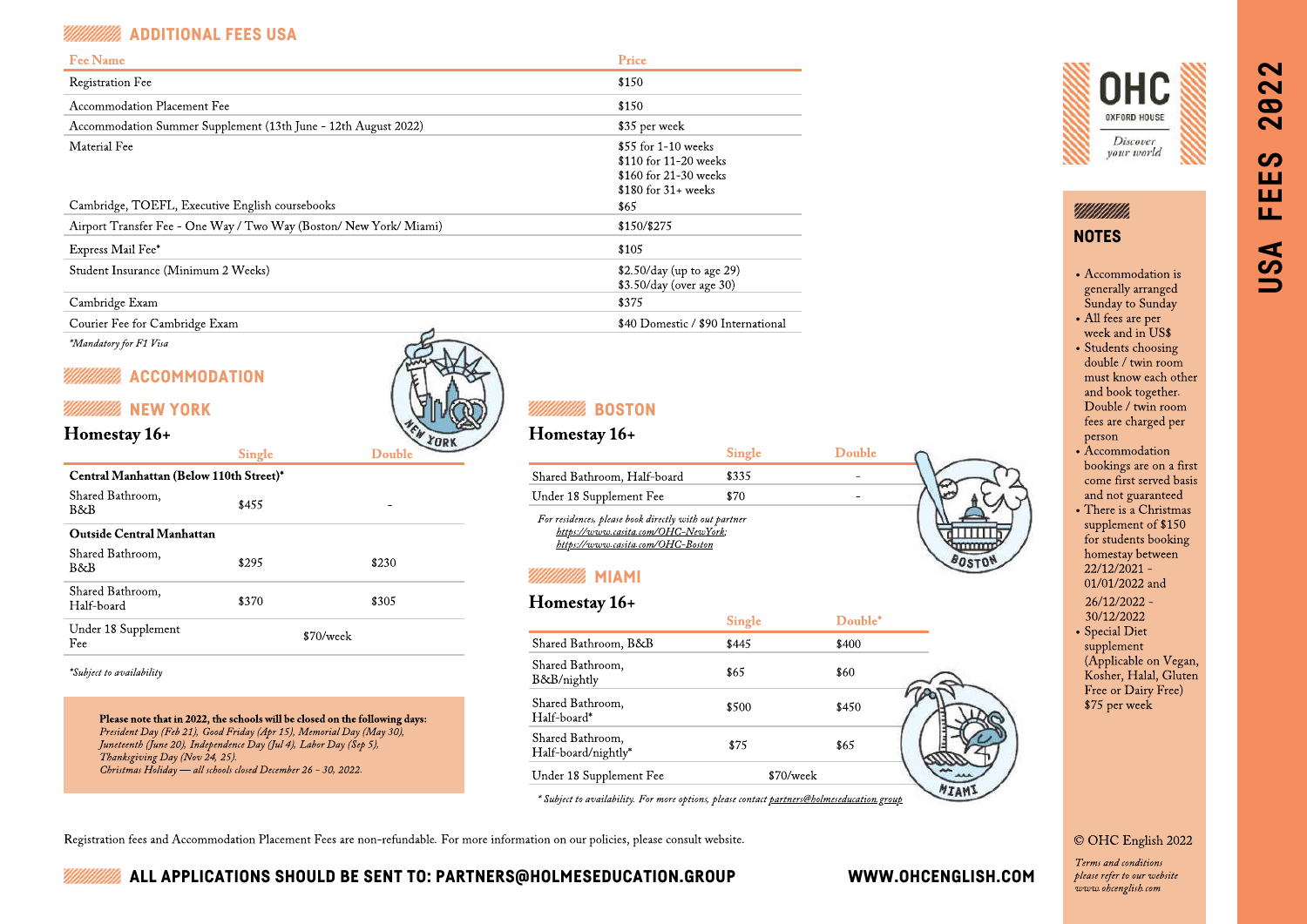# ADDITIONAL FEES USA

| <b>Fee Name</b>                                                  | Price                                                                                             |
|------------------------------------------------------------------|---------------------------------------------------------------------------------------------------|
| <b>Registration Fee</b>                                          | \$150                                                                                             |
| Accommodation Placement Fee                                      | \$150                                                                                             |
| Accommodation Summer Supplement (13th June - 12th August 2022)   | \$35 per week                                                                                     |
| Material Fee                                                     | $$55$ for 1-10 weeks<br>$$110$ for 11-20 weeks<br>\$160 for 21-30 weeks<br>$$180$ for $31+$ weeks |
| Cambridge, TOEFL, Executive English coursebooks                  | \$65                                                                                              |
| Airport Transfer Fee - One Way / Two Way (Boston/New York/Miami) | \$150/\$275                                                                                       |
| Express Mail Fee*                                                | \$105                                                                                             |
| Student Insurance (Minimum 2 Weeks)                              | $$2.50/day$ (up to age 29)<br>\$3.50/day (over age 30)                                            |
| Cambridge Exam                                                   | \$375                                                                                             |

Courier Fee for Cambridge Exam \$40 Domestic / \$90 International

\*Mandatory for F1 Visa

# ACCOMMODATION



# Homestay 16+

| Central Manhattan (Below 110th Street)* |       |             |
|-----------------------------------------|-------|-------------|
| Shared Bathroom.<br>B&B                 | \$455 |             |
| Outside Central Manhattan               |       |             |
| Shared Bathroom,<br>B&B                 | \$295 | \$230       |
| Shared Bathroom,<br>Half-board          | \$370 | \$305       |
| Under 18 Supplement<br>Fee              |       | $$70/$ week |

Single Double

### \*Subject to availability

Please note that in 2022, the schools will be closed on the following days: President Day (Feb 21), Good Friday (Apr 15), Memorial Day (May 30), Juneteenth (June 20), Independence Day (Jul 4), Labor Day (Sep 5), Thanksgiving Day (Nov 24, 25). Christmas Holiday — all schools closed December 26 - 30, 2022.

# Homestay 16+

|                                                                                                                                   | <b>Single</b> | Double |  |
|-----------------------------------------------------------------------------------------------------------------------------------|---------------|--------|--|
| Shared Bathroom, Half-board                                                                                                       | \$335         |        |  |
| Under 18 Supplement Fee                                                                                                           | \$70          |        |  |
| For residences, please book directly with out partner<br>https://www.casita.com/OHC-NewYork;<br>https://www.casita.com/OHC-Boston |               |        |  |

# MIAMI

# Homestay 16+

|                                         | <b>Single</b> | Double* |  |
|-----------------------------------------|---------------|---------|--|
| Shared Bathroom, B&B                    | \$445         | \$400   |  |
| Shared Bathroom,<br>B&B/nightly         | \$65          | \$60    |  |
| Shared Bathroom,<br>Half-board*         | \$500         | \$450   |  |
| Shared Bathroom,<br>Half-board/nightly* | \$75          | \$65    |  |
| Under 18 Supplement Fee                 | \$70/week     |         |  |

Subject to availability. For more options, please contact p

Registration fees and Accommodation Placement Fees are non-refundable. For more information on our policies, please consult website.



# VIIIIIIIIIII **NOTES**

Accommodation is generally arranged Sunday to Sunday All fees are per week and in US\$

• Students choosing double / twin room must know each other and book together. Double / twin room fees are charged per person

- Accommodation bookings are on a first come first served basis and not guaranteed
- There is a Christmas supplement of \$150 for students booking homestay between 22/12/2021 - 01/01/2022 and

 26/12/2022 - 30/12/2022

Special Diet

supplement (Applicable on Vegan, Kosher, Halal, Gluten Free or Dairy Free) \$75 per week

### [©](https://fsymbols.com/copyright/) OHC English 2022

Terms and conditions please refer to our website www.ohcenglish.com

# $\sim$ **USA FEES 2022**  $\mathbf{\Omega}$  $\boldsymbol{\omega}$  $\sim$  $\boldsymbol{\omega}$ ш ш Щ USA

ALL APPLICATIONS SHOULD BE SENT TO: PARTNERS@HOLMESEDUCATION.GROUP WWW.OHCENGLISH.COM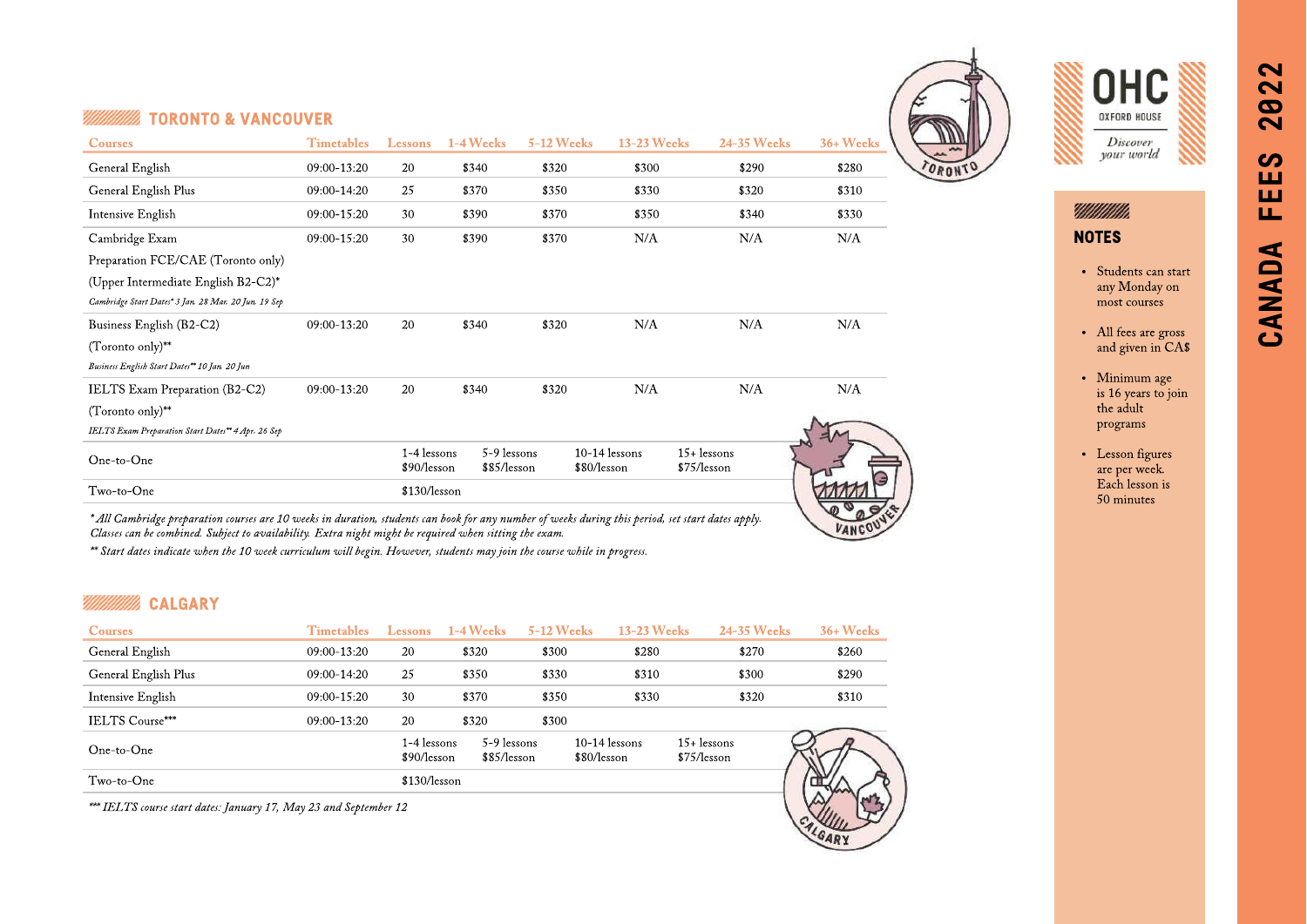# **TORONTO & VANCOUVER**

| <b>Courses</b>                                       | <b>Timetables</b> | Lessons                      | 1-4 Weeks                  | <b>5-12 Weeks</b> | <b>13-23 Weeks</b>             | <b>24-35 Weeks</b>            | 36+ Weeks |
|------------------------------------------------------|-------------------|------------------------------|----------------------------|-------------------|--------------------------------|-------------------------------|-----------|
| General English                                      | 09:00-13:20       | 20                           | \$340                      | \$320             | \$300                          | \$290                         | \$280     |
| General English Plus                                 | 09:00-14:20       | 25                           | \$370                      | \$350             | \$330                          | \$320                         | \$310     |
| Intensive English                                    | 09:00-15:20       | 30                           | \$390                      | \$370             | \$350                          | \$340                         | \$330     |
| Cambridge Exam                                       | 09:00-15:20       | 30                           | \$390                      | \$370             | N/A                            | N/A                           | N/A       |
| Preparation FCE/CAE (Toronto only)                   |                   |                              |                            |                   |                                |                               |           |
| (Upper Intermediate English B2-C2)*                  |                   |                              |                            |                   |                                |                               |           |
| Cambridge Start Dates* 3 Jan, 28 Mar, 20 Jun, 19 Sep |                   |                              |                            |                   |                                |                               |           |
| Business English (B2-C2)                             | 09:00-13:20       | 20                           | \$340                      | \$320             | N/A                            | N/A                           | N/A       |
| $(Toronto only)$ **                                  |                   |                              |                            |                   |                                |                               |           |
| Business English Start Dates** 10 Jan, 20 Jun        |                   |                              |                            |                   |                                |                               |           |
| IELTS Exam Preparation (B2-C2)                       | 09:00-13:20       | 20                           | \$340                      | \$320             | N/A                            | N/A                           | N/A       |
| $(Toronto only)*$                                    |                   |                              |                            |                   |                                |                               |           |
| IELTS Exam Preparation Start Dates** 4 Apr, 26 Sep   |                   |                              |                            |                   |                                |                               |           |
| One-to-One                                           |                   | $1-4$ lessons<br>\$90/lesson | 5-9 lessons<br>\$85/lesson |                   | $10-14$ lessons<br>\$80/lesson | $15 +$ lessons<br>\$75/lesson |           |
| Two-to-One                                           |                   | \$130/lesson                 |                            |                   |                                |                               |           |
|                                                      |                   |                              |                            |                   |                                |                               |           |

\* All Cambridge preparation courses are 10 weeks in duration, students can book for any number of weeks during this period, set start dates apply. Classes can be combined. Subject to availability. Extra night might be required when sitting the exam.

\*\* Start dates indicate when the 10 week curriculum will begin. However, students may join the course while in progress.

# CALGARY

| <b>Timetables</b> | Lessons | $1-4$ Weeks |                                            |                                | <b>24-35 Weeks</b>           | 36+ Weeks          |
|-------------------|---------|-------------|--------------------------------------------|--------------------------------|------------------------------|--------------------|
| 09:00-13:20       | 20      | \$320       | \$300                                      | \$280                          | \$270                        | \$260              |
| $09:00 - 14:20$   | 25      | \$350       | \$330                                      | \$310                          | \$300                        | \$290              |
| $09:00 - 15:20$   | 30      | \$370       | \$350                                      | \$330                          | \$320                        | \$310              |
| $09:00 - 13:20$   | 20      | \$320       | \$300                                      |                                |                              |                    |
|                   |         |             |                                            | $10-14$ lessons<br>\$80/lesson | $15+$ lessons<br>\$75/lesson |                    |
|                   |         |             |                                            |                                |                              |                    |
|                   |         |             | 1-4 lessons<br>\$90/lesson<br>\$130/lesson | 5-9 lessons<br>\$85/lesson     | <b>5-12 Weeks</b>            | <b>13-23 Weeks</b> |

\*\*\* IELTS course start dates: January 17, May 23 and September 12





# Millillilli NOTES

• Students can start any Monday on most courses

CANADA FEES 2022

匸

CANADA

 $\sim$ 

 $\overline{\mathbf{N}}$ **92** 

တ ш ш

- All fees are gross and given in CA\$
- Minimum age is 16 years to join the adult programs
- Lesson figures are per week. Each lesson is 50 minutes



VANCOU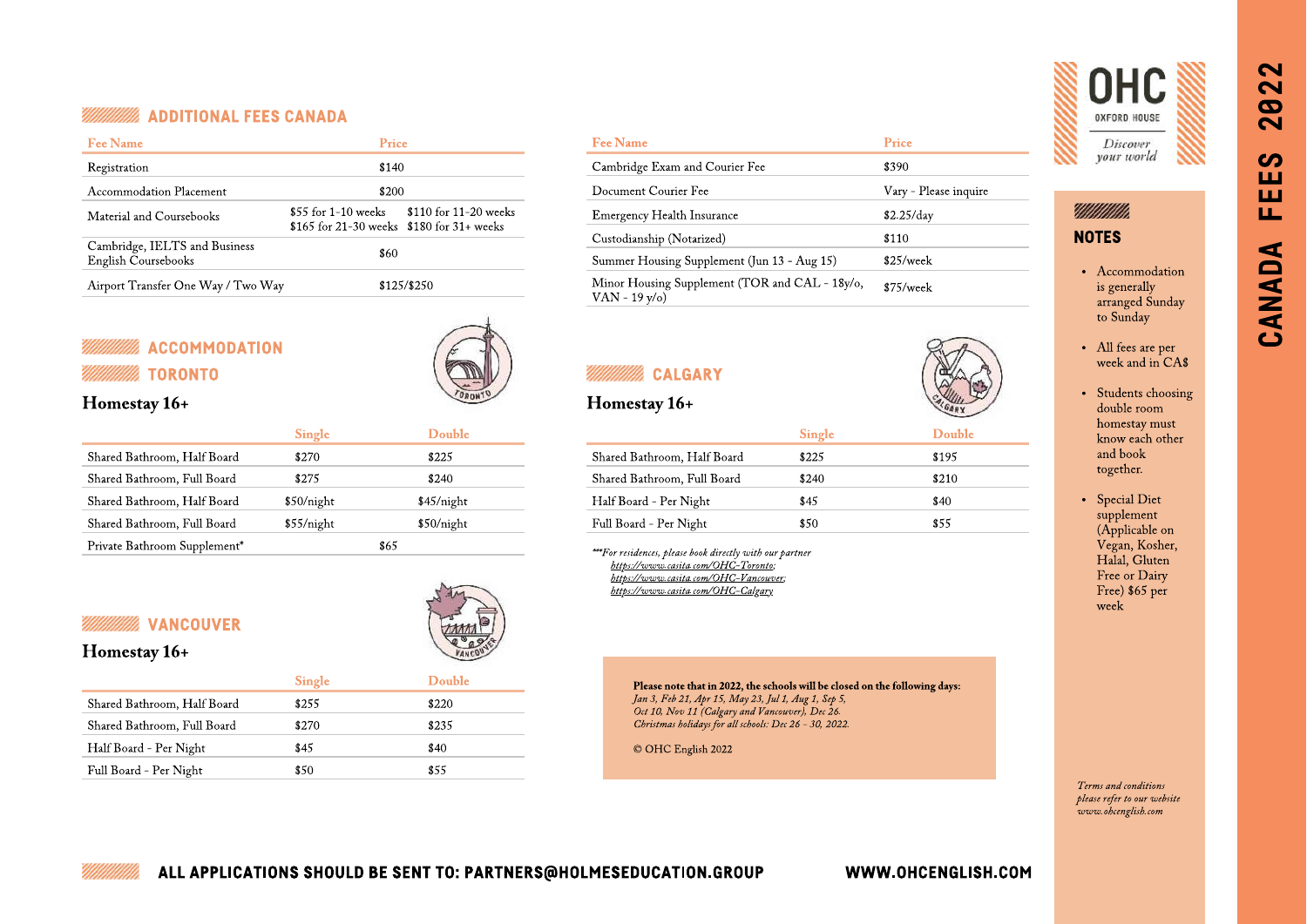### ADDITIONAL FEES CANADA

| <b>Fee Name</b>                                      | Price                                                               |                       |  |  |  |
|------------------------------------------------------|---------------------------------------------------------------------|-----------------------|--|--|--|
| Registration                                         | \$140                                                               |                       |  |  |  |
| Accommodation Placement                              | \$200                                                               |                       |  |  |  |
| Material and Coursebooks                             | $$55$ for 1-10 weeks<br>$$165$ for 21-30 weeks $$180$ for 31+ weeks | \$110 for 11-20 weeks |  |  |  |
| Cambridge, IELTS and Business<br>English Coursebooks | \$60                                                                |                       |  |  |  |
| Airport Transfer One Way / Two Way                   |                                                                     | \$125/\$250           |  |  |  |

# **ACCOMMODATION** TORONTO **CALGARY CALGARY**



# Homestay 16+

| <b>Single</b> | Double     |
|---------------|------------|
| \$270         | \$225      |
| \$275         | \$240      |
| \$50/night    | \$45/night |
| \$55/night    | \$50/night |
|               | \$65       |
|               |            |

# **WANCOUVER**



# Homestay 16+

|                             | Single | Double |
|-----------------------------|--------|--------|
| Shared Bathroom, Half Board | \$255  | \$220  |
| Shared Bathroom, Full Board | \$270  | \$235  |
| Half Board - Per Night      | \$45   | \$40   |
| Full Board - Per Night      | \$50   | \$55   |
|                             |        |        |

| <b>Fee Name</b>                                                    | Price                 |
|--------------------------------------------------------------------|-----------------------|
| Cambridge Exam and Courier Fee                                     | \$390                 |
| Document Courier Fee                                               | Vary - Please inquire |
| <b>Emergency Health Insurance</b>                                  | \$2.25/day            |
| Custodianship (Notarized)                                          | \$110                 |
| Summer Housing Supplement (Jun 13 - Aug 15)                        | \$25/week             |
| Minor Housing Supplement (TOR and CAL - 18y/o,<br>VAN - 19 $v$ /o) | \$75/week             |

# Homestay 16+

|                             | <b>Single</b> | Double |
|-----------------------------|---------------|--------|
| Shared Bathroom, Half Board | \$225         | \$195  |
| Shared Bathroom, Full Board | \$240         | \$210  |
| Half Board - Per Night      | \$45          | \$40   |
| Full Board - Per Night      | \$50          | \$55   |

\*\*\*For residences, please book directly with our partner [https://www.casita.com/OHC-Toronto;](https://www.casita.com/OHC-Toronto) <https://www.casita.com/OHC-Vancouver>; <https://www.casita.com/OHC-Calgary>

> Please note that in 2022, the schools will be closed on the following days: Jan 3, Feb 21, Apr 15, May 23, Jul 1, Aug 1, Sep 5, Oct 10, Nov 11 (Calgary and Vancouver), Dec 26. Christmas holidays for all schools: Dec 26 - 30, 2022.

[©](https://fsymbols.com/copyright/) OHC English 2022



# UMMMM. NOTES

- Accommodation is generally arranged Sunday to Sunday
- All fees are per week and in CA\$
- Students choosing double room homestay must know each other and book together.
- Special Diet supplement (Applicable on Vegan, Kosher, Halal, Gluten Free or Dairy Free) \$65 per week

Terms and conditions please refer to our website www.ohcenglish.com

# ALL APPLICATIONS SHOULD BE SENT TO: PARTNERS@HOLMESEDUCATION.GROUP WWW.OHCENGLISH.COM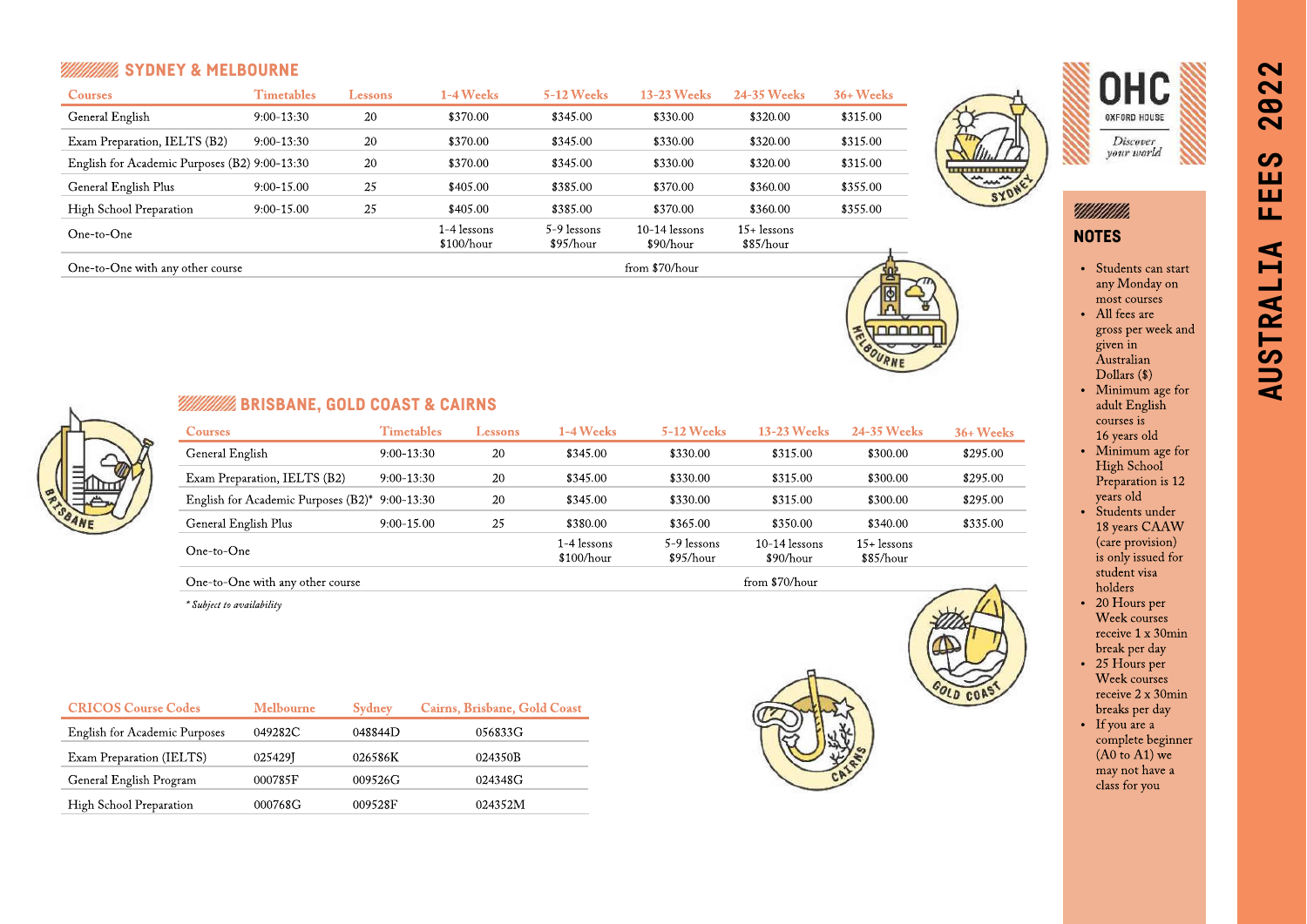# **SYLVANIA SYDNEY & MELBOURNE**

One-to-One with any other course

| <b>Courses</b>                                | Timetables   | Lessons | <b>1-4 Weeks</b>          | <b>5-12 Weeks</b>        | <b>13-23 Weeks</b>           | 24-35 Weeks                | $36+$ Weeks |
|-----------------------------------------------|--------------|---------|---------------------------|--------------------------|------------------------------|----------------------------|-------------|
| General English                               | $9:00-13:30$ | 20      | \$370.00                  | \$345.00                 | \$330.00                     | \$320.00                   | \$315.00    |
| Exam Preparation, IELTS (B2)                  | $9:00-13:30$ | 20      | \$370.00                  | \$345.00                 | \$330.00                     | \$320.00                   | \$315.00    |
| English for Academic Purposes (B2) 9:00-13:30 |              | 20      | \$370.00                  | \$345.00                 | \$330.00                     | \$320.00                   | \$315.00    |
| General English Plus                          | $9:00-15.00$ | 25      | \$405.00                  | \$385.00                 | \$370.00                     | \$360.00                   | \$355.00    |
| High School Preparation                       | $9:00-15.00$ | 25      | \$405.00                  | \$385.00                 | \$370.00                     | \$360.00                   | \$355.00    |
| One-to-One                                    |              |         | l-4 lessons<br>\$100/hour | 5-9 lessons<br>\$95/hour | $10-14$ lessons<br>\$90/hour | $15+$ lessons<br>\$85/hour |             |

from \$70/hour



noooc

 $\overline{L}$  $c<sub>0</sub>$ 



Millillilli

**NOTES** 

- Students can start any Monday on most courses
- All fees are gross per week and given in Australian Dollars (\$)
- Minimum age for adult English courses is 16 years old
- Minimum age for High School
- Preparation is 12 years old • Students under
- 18 years CAAW (care provision) is only issued for student visa holders
- 20 Hours per Week courses receive 1 x 30min break per day
- 25 Hours per Week courses receive 2 x 30min breaks per day
- If you are a complete beginner  $(AD \to A1)$  we may not have a class for you



# **WILLIAMS** BRISBANE, GOLD COAST & CAIRNS

| <b>Courses</b>                      | <b>Timetables</b> | Lessons | 1-4 Weeks                 | <b>5-12 Weeks</b>        | <b>13-23 Weeks</b>           | 24-35 Weeks              | $36+$ Weeks                  |
|-------------------------------------|-------------------|---------|---------------------------|--------------------------|------------------------------|--------------------------|------------------------------|
| General English                     | $9:00-13:30$      | 20      | \$345.00                  | \$330.00                 | \$315.00                     | \$300.00                 | \$295.00                     |
| Exam Preparation, IELTS (B2)        | $9:00-13:30$      | 20      | \$345.00                  | \$330.00                 | \$315.00                     | \$300.00                 | \$295.00                     |
| English for Academic Purposes (B2)* | 9:00-13:30        | 20      | \$345.00                  | \$330.00                 | \$315.00                     | \$300.00                 | \$295.00                     |
| General English Plus                | $9:00-15.00$      | 25      | \$380.00                  | \$365.00                 | \$350.00                     | \$340.00                 | \$335.00                     |
| One-to-One                          |                   |         | 1-4 lessons<br>\$100/hour | 5-9 lessons<br>\$95/hour | $10-14$ lessons<br>\$90/hour | 15+ lessons<br>\$85/hour |                              |
| One-to-One with any other course    |                   |         |                           |                          | from \$70/hour               |                          | <b>Contract Contract Ave</b> |

One-to-One with any other course

\* Subject to availability

| <b>CRICOS Course Codes</b>           | <b>Melbourne</b> | Sydney  | Cairns, Brisbane, Gold Coast |
|--------------------------------------|------------------|---------|------------------------------|
| <b>English for Academic Purposes</b> | 049282C          | 048844D | 056833G                      |
| Exam Preparation (IELTS)             | 025429J          | 026586K | 024350B                      |
| General English Program              | 000785F          | 009526G | 024348G                      |
| High School Preparation              | 000768G          | 009528F | 024352M                      |



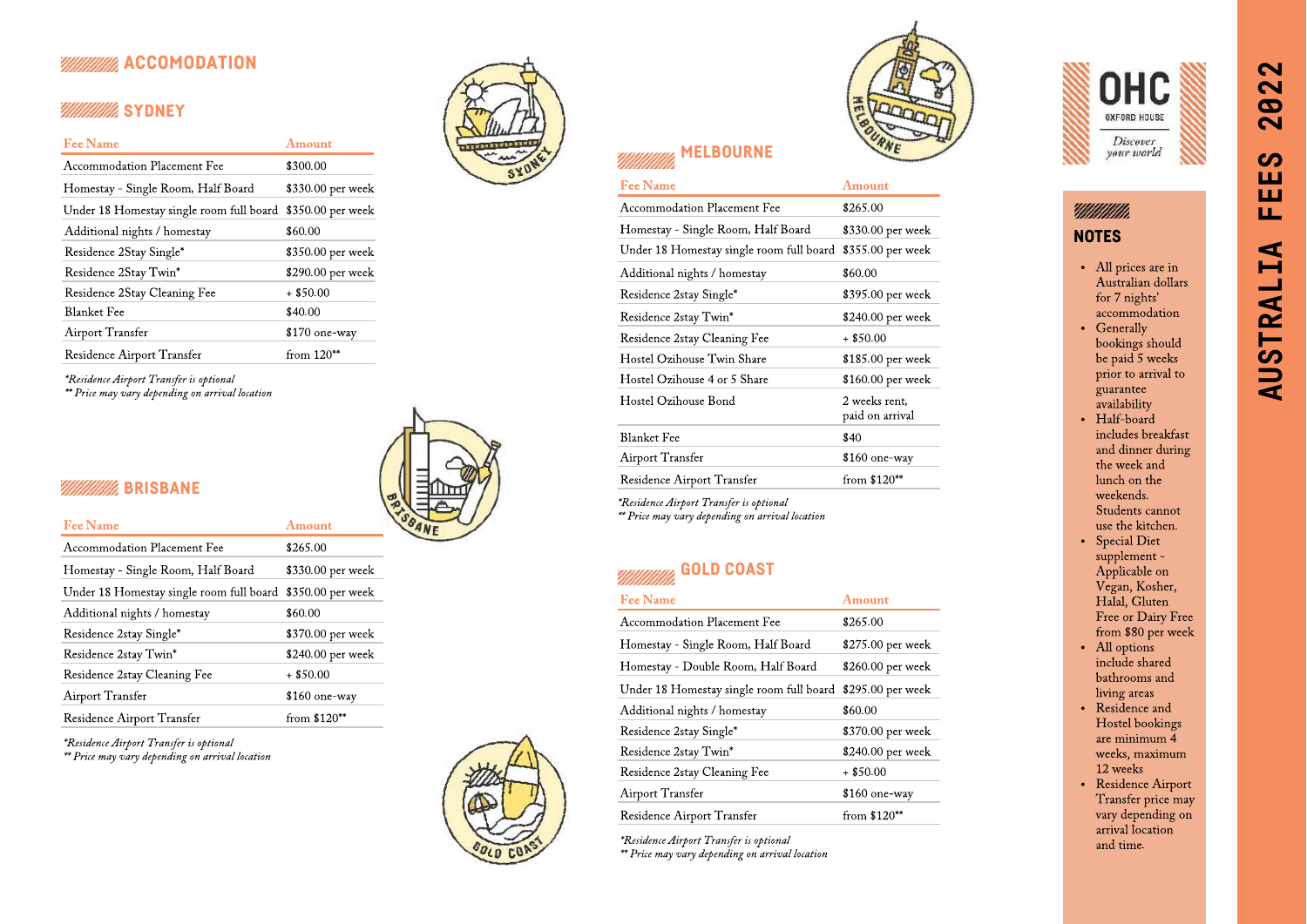# **ACCOMODATION**

# **WINNING** SYDNEY

| <b>Fee Name</b>                          | Amount            |
|------------------------------------------|-------------------|
| Accommodation Placement Fee              | \$300.00          |
| Homestay - Single Room, Half Board       | \$330.00 per week |
| Under 18 Homestay single room full board | \$350.00 per week |
| Additional nights / homestay             | \$60.00           |
| Residence 2Stay Single*                  | \$350.00 per week |
| Residence 2Stay Twin*                    | \$290.00 per week |
| Residence 2Stay Cleaning Fee             | $+$ \$50.00       |
| <b>Blanket Fee</b>                       | \$40.00           |
| <b>Airport Transfer</b>                  | \$170 one-way     |
| Residence Airport Transfer               | from $120^{**}$   |

\*Residence Airport Transfer is optional

\*\* Price may vary depending on arrival location



# **BRISBANE**

| <b>Fee Name</b>                          | Amount            |
|------------------------------------------|-------------------|
| Accommodation Placement Fee              | \$265.00          |
| Homestay - Single Room, Half Board       | \$330.00 per week |
| Under 18 Homestay single room full board | \$350.00 per week |
| Additional nights / homestay             | \$60.00           |
| Residence 2stay Single*                  | \$370.00 per week |
| Residence 2stay Twin*                    | \$240.00 per week |
| Residence 2stay Cleaning Fee             | $+$ \$50.00       |
| <b>Airport Transfer</b>                  | \$160 one-way     |
| Residence Airport Transfer               | from $$120**$     |

\*Residence Airport Transfer is optional

\*\* Price may vary depending on arrival location





| <b>Fee Name</b>                          | Amount                           |
|------------------------------------------|----------------------------------|
| Accommodation Placement Fee              | \$265.00                         |
| Homestay - Single Room, Half Board       | \$330.00 per week                |
| Under 18 Homestay single room full board | \$355.00 per week                |
| Additional nights / homestay             | \$60.00                          |
| Residence 2stay Single*                  | \$395.00 per week                |
| Residence 2stay Twin*                    | \$240.00 per week                |
| Residence 2stay Cleaning Fee             | $+$ \$50.00                      |
| Hostel Ozihouse Twin Share               | \$185.00 per week                |
| Hostel Ozihouse 4 or 5 Share             | \$160.00 per week                |
| Hostel Ozihouse Bond                     | 2 weeks rent,<br>paid on arrival |
| <b>Blanket Fee</b>                       | \$40                             |
| Airport Transfer                         | \$160 one-way                    |
| Residence Airport Transfer               | from $$120**$                    |

\*Residence Airport Transfer is optional \*\* Price may vary depending on arrival location

# GOLD COAST

| <b>Fee Name</b>                          | Amount            |
|------------------------------------------|-------------------|
| Accommodation Placement Fee              | \$265.00          |
| Homestay - Single Room, Half Board       | \$275.00 per week |
| Homestay - Double Room, Half Board       | \$260.00 per week |
| Under 18 Homestay single room full board | \$295.00 per week |
| Additional nights / homestay             | \$60.00           |
| Residence 2stay Single*                  | \$370.00 per week |
| Residence 2stay Twin*                    | \$240.00 per week |
| Residence 2stay Cleaning Fee             | $+$ \$50.00       |
| Airport Transfer                         | \$160 one-way     |
| Residence Airport Transfer               | from $$120**$     |

\*Residence Airport Transfer is optional \*\* Price may vary depending on arrival location



Millittiin

NOTES

- All prices are in Australian dollars for 7 nights' accommodation
- Generally bookings should be paid 5 weeks prior to arrival to guarantee availability
- Half-board includes breakfast and dinner during the week and lunch on the weekends. Students cannot use the kitchen.
- Special Diet supplement - Applicable on Vegan, Kosher, Halal, Gluten Free or Dairy Free from \$80 per week
- All options include shared bathrooms and living areas
- Residence and Hostel bookings are minimum 4 weeks, maximum 12 weeks
- Residence Airport Transfer price may vary depending on arrival location and time.

# **AUSTRALIA FEES 2022**  $\overline{\mathbf{N}}$  $\boldsymbol{\omega}$  $\overline{\mathbf{N}}$  $\boldsymbol{\omega}$ ш ш ЦL, AUSTRALIA

 $\sim$